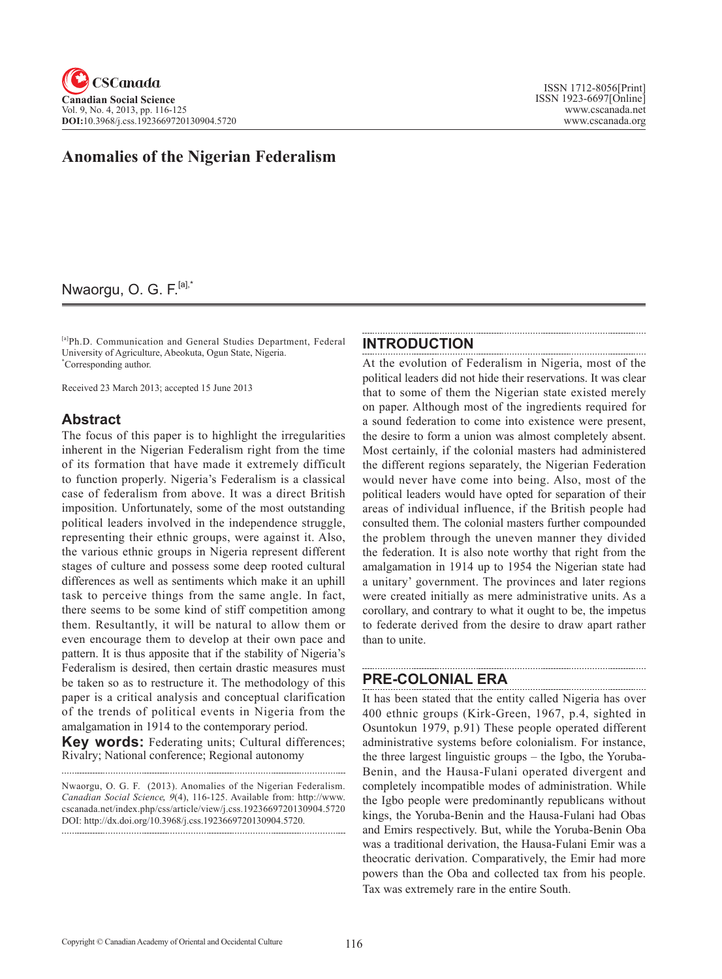# **Anomalies of the Nigerian Federalism**

## Nwaorgu, O. G. F.<sup>[a],\*</sup>

[a]Ph.D. Communication and General Studies Department, Federal University of Agriculture, Abeokuta, Ogun State, Nigeria. \* Corresponding author.

Received 23 March 2013; accepted 15 June 2013

### **Abstract**

The focus of this paper is to highlight the irregularities inherent in the Nigerian Federalism right from the time of its formation that have made it extremely difficult to function properly. Nigeria's Federalism is a classical case of federalism from above. It was a direct British imposition. Unfortunately, some of the most outstanding political leaders involved in the independence struggle, representing their ethnic groups, were against it. Also, the various ethnic groups in Nigeria represent different stages of culture and possess some deep rooted cultural differences as well as sentiments which make it an uphill task to perceive things from the same angle. In fact, there seems to be some kind of stiff competition among them. Resultantly, it will be natural to allow them or even encourage them to develop at their own pace and pattern. It is thus apposite that if the stability of Nigeria's Federalism is desired, then certain drastic measures must be taken so as to restructure it. The methodology of this paper is a critical analysis and conceptual clarification of the trends of political events in Nigeria from the amalgamation in 1914 to the contemporary period.

**Key words:** Federating units; Cultural differences; Rivalry; National conference; Regional autonomy

Nwaorgu, O. G. F. (2013). Anomalies of the Nigerian Federalism. *Canadian Social Science*, <sup>9</sup>(4), 116-125. Available from: http://www. cscanada.net/index.php/css/article/view/j.css.1923669720130904.5720 DOI: http://dx.doi.org/10.3968/j.css.1923669720130904.5720. 

#### **INTRODUCTION**

At the evolution of Federalism in Nigeria, most of the political leaders did not hide their reservations. It was clear that to some of them the Nigerian state existed merely on paper. Although most of the ingredients required for a sound federation to come into existence were present, the desire to form a union was almost completely absent. Most certainly, if the colonial masters had administered the different regions separately, the Nigerian Federation would never have come into being. Also, most of the political leaders would have opted for separation of their areas of individual influence, if the British people had consulted them. The colonial masters further compounded the problem through the uneven manner they divided the federation. It is also note worthy that right from the amalgamation in 1914 up to 1954 the Nigerian state had a unitary' government. The provinces and later regions were created initially as mere administrative units. As a corollary, and contrary to what it ought to be, the impetus to federate derived from the desire to draw apart rather than to unite.

#### **PRE-COLONIAL ERA**

It has been stated that the entity called Nigeria has over 400 ethnic groups (Kirk-Green, 1967, p.4, sighted in Osuntokun 1979, p.91) These people operated different administrative systems before colonialism. For instance, the three largest linguistic groups – the Igbo, the Yoruba-Benin, and the Hausa-Fulani operated divergent and completely incompatible modes of administration. While the Igbo people were predominantly republicans without kings, the Yoruba-Benin and the Hausa-Fulani had Obas and Emirs respectively. But, while the Yoruba-Benin Oba was a traditional derivation, the Hausa-Fulani Emir was a theocratic derivation. Comparatively, the Emir had more powers than the Oba and collected tax from his people. Tax was extremely rare in the entire South.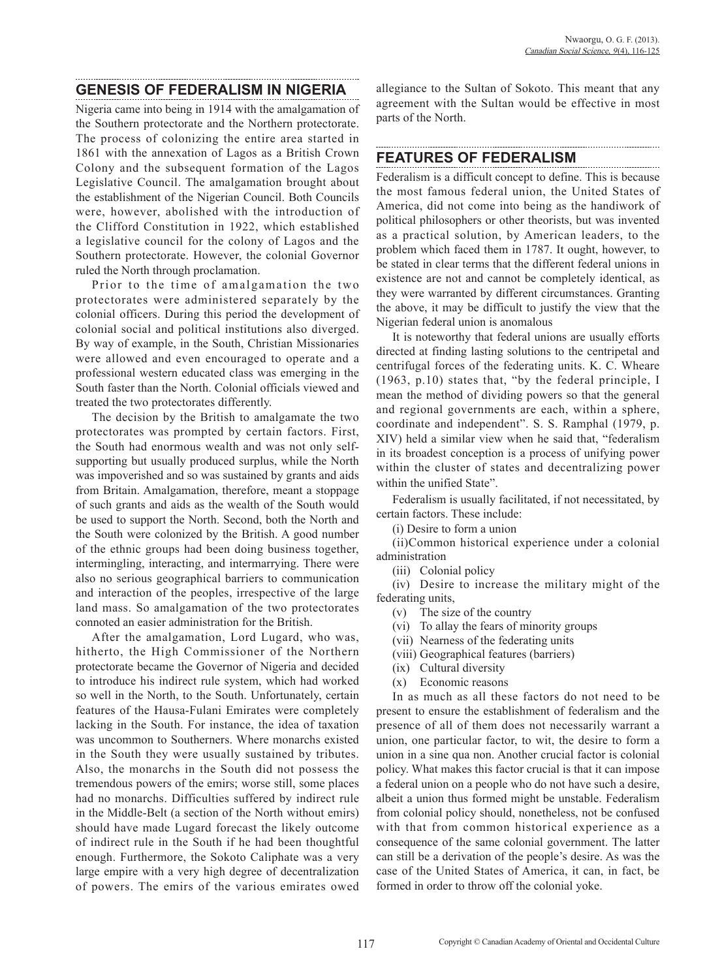#### **GENESIS OF FEDERALISM IN NIGERIA**

Nigeria came into being in 1914 with the amalgamation of the Southern protectorate and the Northern protectorate. The process of colonizing the entire area started in 1861 with the annexation of Lagos as a British Crown Colony and the subsequent formation of the Lagos Legislative Council. The amalgamation brought about the establishment of the Nigerian Council. Both Councils were, however, abolished with the introduction of the Clifford Constitution in 1922, which established a legislative council for the colony of Lagos and the Southern protectorate. However, the colonial Governor ruled the North through proclamation.

Prior to the time of amalgamation the two protectorates were administered separately by the colonial officers. During this period the development of colonial social and political institutions also diverged. By way of example, in the South, Christian Missionaries were allowed and even encouraged to operate and a professional western educated class was emerging in the South faster than the North. Colonial officials viewed and treated the two protectorates differently.

The decision by the British to amalgamate the two protectorates was prompted by certain factors. First, the South had enormous wealth and was not only selfsupporting but usually produced surplus, while the North was impoverished and so was sustained by grants and aids from Britain. Amalgamation, therefore, meant a stoppage of such grants and aids as the wealth of the South would be used to support the North. Second, both the North and the South were colonized by the British. A good number of the ethnic groups had been doing business together, intermingling, interacting, and intermarrying. There were also no serious geographical barriers to communication and interaction of the peoples, irrespective of the large land mass. So amalgamation of the two protectorates connoted an easier administration for the British.

After the amalgamation, Lord Lugard, who was, hitherto, the High Commissioner of the Northern protectorate became the Governor of Nigeria and decided to introduce his indirect rule system, which had worked so well in the North, to the South. Unfortunately, certain features of the Hausa-Fulani Emirates were completely lacking in the South. For instance, the idea of taxation was uncommon to Southerners. Where monarchs existed in the South they were usually sustained by tributes. Also, the monarchs in the South did not possess the tremendous powers of the emirs; worse still, some places had no monarchs. Difficulties suffered by indirect rule in the Middle-Belt (a section of the North without emirs) should have made Lugard forecast the likely outcome of indirect rule in the South if he had been thoughtful enough. Furthermore, the Sokoto Caliphate was a very large empire with a very high degree of decentralization of powers. The emirs of the various emirates owed

allegiance to the Sultan of Sokoto. This meant that any agreement with the Sultan would be effective in most parts of the North.

### **FEATURES OF FEDERALISM**

Federalism is a difficult concept to define. This is because the most famous federal union, the United States of America, did not come into being as the handiwork of political philosophers or other theorists, but was invented as a practical solution, by American leaders, to the problem which faced them in 1787. It ought, however, to be stated in clear terms that the different federal unions in existence are not and cannot be completely identical, as they were warranted by different circumstances. Granting the above, it may be difficult to justify the view that the Nigerian federal union is anomalous

It is noteworthy that federal unions are usually efforts directed at finding lasting solutions to the centripetal and centrifugal forces of the federating units. K. C. Wheare (1963, p.10) states that, "by the federal principle, I mean the method of dividing powers so that the general and regional governments are each, within a sphere, coordinate and independent". S. S. Ramphal (1979, p. XIV) held a similar view when he said that, "federalism in its broadest conception is a process of unifying power within the cluster of states and decentralizing power within the unified State".

Federalism is usually facilitated, if not necessitated, by certain factors. These include:

(i) Desire to form a union

(ii)Common historical experience under a colonial administration

(iii) Colonial policy

(iv) Desire to increase the military might of the federating units,

- (v) The size of the country
- (vi) To allay the fears of minority groups
- (vii) Nearness of the federating units
- (viii) Geographical features (barriers)
- (ix) Cultural diversity
- (x) Economic reasons

In as much as all these factors do not need to be present to ensure the establishment of federalism and the presence of all of them does not necessarily warrant a union, one particular factor, to wit, the desire to form a union in a sine qua non. Another crucial factor is colonial policy. What makes this factor crucial is that it can impose a federal union on a people who do not have such a desire, albeit a union thus formed might be unstable. Federalism from colonial policy should, nonetheless, not be confused with that from common historical experience as a consequence of the same colonial government. The latter can still be a derivation of the people's desire. As was the case of the United States of America, it can, in fact, be formed in order to throw off the colonial yoke.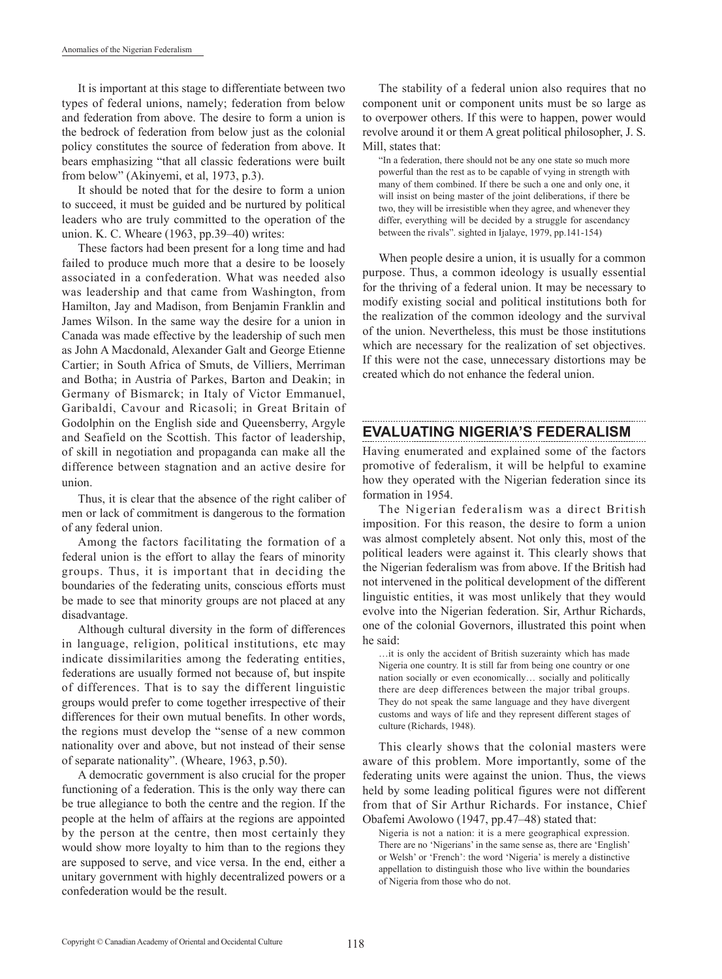It is important at this stage to differentiate between two types of federal unions, namely; federation from below and federation from above. The desire to form a union is the bedrock of federation from below just as the colonial policy constitutes the source of federation from above. It bears emphasizing "that all classic federations were built from below" (Akinyemi, et al, 1973, p.3).

It should be noted that for the desire to form a union to succeed, it must be guided and be nurtured by political leaders who are truly committed to the operation of the union. K. C. Wheare (1963, pp.39–40) writes:

These factors had been present for a long time and had failed to produce much more that a desire to be loosely associated in a confederation. What was needed also was leadership and that came from Washington, from Hamilton, Jay and Madison, from Benjamin Franklin and James Wilson. In the same way the desire for a union in Canada was made effective by the leadership of such men as John A Macdonald, Alexander Galt and George Etienne Cartier; in South Africa of Smuts, de Villiers, Merriman and Botha; in Austria of Parkes, Barton and Deakin; in Germany of Bismarck; in Italy of Victor Emmanuel, Garibaldi, Cavour and Ricasoli; in Great Britain of Godolphin on the English side and Queensberry, Argyle and Seafield on the Scottish. This factor of leadership, of skill in negotiation and propaganda can make all the difference between stagnation and an active desire for union.

Thus, it is clear that the absence of the right caliber of men or lack of commitment is dangerous to the formation of any federal union.

Among the factors facilitating the formation of a federal union is the effort to allay the fears of minority groups. Thus, it is important that in deciding the boundaries of the federating units, conscious efforts must be made to see that minority groups are not placed at any disadvantage.

Although cultural diversity in the form of differences in language, religion, political institutions, etc may indicate dissimilarities among the federating entities, federations are usually formed not because of, but inspite of differences. That is to say the different linguistic groups would prefer to come together irrespective of their differences for their own mutual benefits. In other words, the regions must develop the "sense of a new common nationality over and above, but not instead of their sense of separate nationality". (Wheare, 1963, p.50).

A democratic government is also crucial for the proper functioning of a federation. This is the only way there can be true allegiance to both the centre and the region. If the people at the helm of affairs at the regions are appointed by the person at the centre, then most certainly they would show more loyalty to him than to the regions they are supposed to serve, and vice versa. In the end, either a unitary government with highly decentralized powers or a confederation would be the result.

The stability of a federal union also requires that no component unit or component units must be so large as to overpower others. If this were to happen, power would revolve around it or them A great political philosopher, J. S. Mill, states that:

"In a federation, there should not be any one state so much more powerful than the rest as to be capable of vying in strength with many of them combined. If there be such a one and only one, it will insist on being master of the joint deliberations, if there be two, they will be irresistible when they agree, and whenever they differ, everything will be decided by a struggle for ascendancy between the rivals". sighted in Ijalaye, 1979, pp.141-154)

When people desire a union, it is usually for a common purpose. Thus, a common ideology is usually essential for the thriving of a federal union. It may be necessary to modify existing social and political institutions both for the realization of the common ideology and the survival of the union. Nevertheless, this must be those institutions which are necessary for the realization of set objectives. If this were not the case, unnecessary distortions may be created which do not enhance the federal union.

## **EVALUATING NIGERIA'S FEDERALISM**

Having enumerated and explained some of the factors promotive of federalism, it will be helpful to examine how they operated with the Nigerian federation since its formation in 1954.

The Nigerian federalism was a direct British imposition. For this reason, the desire to form a union was almost completely absent. Not only this, most of the political leaders were against it. This clearly shows that the Nigerian federalism was from above. If the British had not intervened in the political development of the different linguistic entities, it was most unlikely that they would evolve into the Nigerian federation. Sir, Arthur Richards, one of the colonial Governors, illustrated this point when he said:

…it is only the accident of British suzerainty which has made Nigeria one country. It is still far from being one country or one nation socially or even economically… socially and politically there are deep differences between the major tribal groups. They do not speak the same language and they have divergent customs and ways of life and they represent different stages of culture (Richards, 1948).

This clearly shows that the colonial masters were aware of this problem. More importantly, some of the federating units were against the union. Thus, the views held by some leading political figures were not different from that of Sir Arthur Richards. For instance, Chief Obafemi Awolowo (1947, pp.47–48) stated that:

Nigeria is not a nation: it is a mere geographical expression. There are no 'Nigerians' in the same sense as, there are 'English' or Welsh' or 'French': the word 'Nigeria' is merely a distinctive appellation to distinguish those who live within the boundaries of Nigeria from those who do not.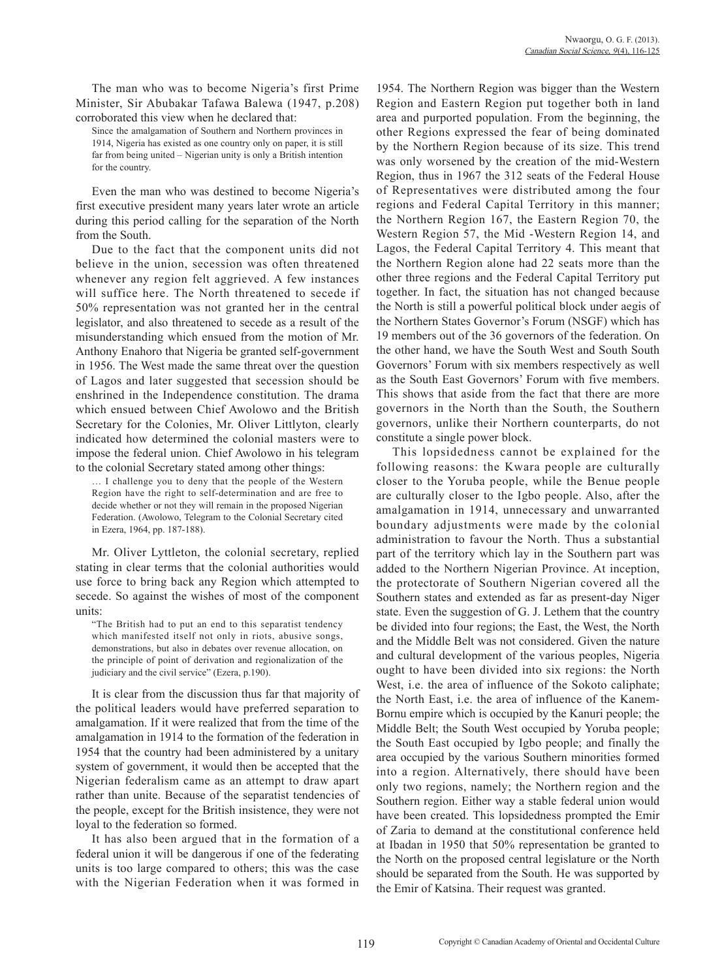The man who was to become Nigeria's first Prime Minister, Sir Abubakar Tafawa Balewa (1947, p.208) corroborated this view when he declared that:

Since the amalgamation of Southern and Northern provinces in 1914, Nigeria has existed as one country only on paper, it is still far from being united – Nigerian unity is only a British intention for the country.

Even the man who was destined to become Nigeria's first executive president many years later wrote an article during this period calling for the separation of the North from the South.

Due to the fact that the component units did not believe in the union, secession was often threatened whenever any region felt aggrieved. A few instances will suffice here. The North threatened to secede if 50% representation was not granted her in the central legislator, and also threatened to secede as a result of the misunderstanding which ensued from the motion of Mr. Anthony Enahoro that Nigeria be granted self-government in 1956. The West made the same threat over the question of Lagos and later suggested that secession should be enshrined in the Independence constitution. The drama which ensued between Chief Awolowo and the British Secretary for the Colonies, Mr. Oliver Littlyton, clearly indicated how determined the colonial masters were to impose the federal union. Chief Awolowo in his telegram to the colonial Secretary stated among other things:

… I challenge you to deny that the people of the Western Region have the right to self-determination and are free to decide whether or not they will remain in the proposed Nigerian Federation. (Awolowo, Telegram to the Colonial Secretary cited in Ezera, 1964, pp. 187-188).

Mr. Oliver Lyttleton, the colonial secretary, replied stating in clear terms that the colonial authorities would use force to bring back any Region which attempted to secede. So against the wishes of most of the component units:

"The British had to put an end to this separatist tendency which manifested itself not only in riots, abusive songs, demonstrations, but also in debates over revenue allocation, on the principle of point of derivation and regionalization of the judiciary and the civil service" (Ezera, p.190).

It is clear from the discussion thus far that majority of the political leaders would have preferred separation to amalgamation. If it were realized that from the time of the amalgamation in 1914 to the formation of the federation in 1954 that the country had been administered by a unitary system of government, it would then be accepted that the Nigerian federalism came as an attempt to draw apart rather than unite. Because of the separatist tendencies of the people, except for the British insistence, they were not loyal to the federation so formed.

It has also been argued that in the formation of a federal union it will be dangerous if one of the federating units is too large compared to others; this was the case with the Nigerian Federation when it was formed in 1954. The Northern Region was bigger than the Western Region and Eastern Region put together both in land area and purported population. From the beginning, the other Regions expressed the fear of being dominated by the Northern Region because of its size. This trend was only worsened by the creation of the mid-Western Region, thus in 1967 the 312 seats of the Federal House of Representatives were distributed among the four regions and Federal Capital Territory in this manner; the Northern Region 167, the Eastern Region 70, the Western Region 57, the Mid -Western Region 14, and Lagos, the Federal Capital Territory 4. This meant that the Northern Region alone had 22 seats more than the other three regions and the Federal Capital Territory put together. In fact, the situation has not changed because the North is still a powerful political block under aegis of the Northern States Governor's Forum (NSGF) which has 19 members out of the 36 governors of the federation. On the other hand, we have the South West and South South Governors' Forum with six members respectively as well as the South East Governors' Forum with five members. This shows that aside from the fact that there are more governors in the North than the South, the Southern governors, unlike their Northern counterparts, do not constitute a single power block.

This lopsidedness cannot be explained for the following reasons: the Kwara people are culturally closer to the Yoruba people, while the Benue people are culturally closer to the Igbo people. Also, after the amalgamation in 1914, unnecessary and unwarranted boundary adjustments were made by the colonial administration to favour the North. Thus a substantial part of the territory which lay in the Southern part was added to the Northern Nigerian Province. At inception, the protectorate of Southern Nigerian covered all the Southern states and extended as far as present-day Niger state. Even the suggestion of G. J. Lethem that the country be divided into four regions; the East, the West, the North and the Middle Belt was not considered. Given the nature and cultural development of the various peoples, Nigeria ought to have been divided into six regions: the North West, i.e. the area of influence of the Sokoto caliphate; the North East, i.e. the area of influence of the Kanem-Bornu empire which is occupied by the Kanuri people; the Middle Belt; the South West occupied by Yoruba people; the South East occupied by Igbo people; and finally the area occupied by the various Southern minorities formed into a region. Alternatively, there should have been only two regions, namely; the Northern region and the Southern region. Either way a stable federal union would have been created. This lopsidedness prompted the Emir of Zaria to demand at the constitutional conference held at Ibadan in 1950 that 50% representation be granted to the North on the proposed central legislature or the North should be separated from the South. He was supported by the Emir of Katsina. Their request was granted.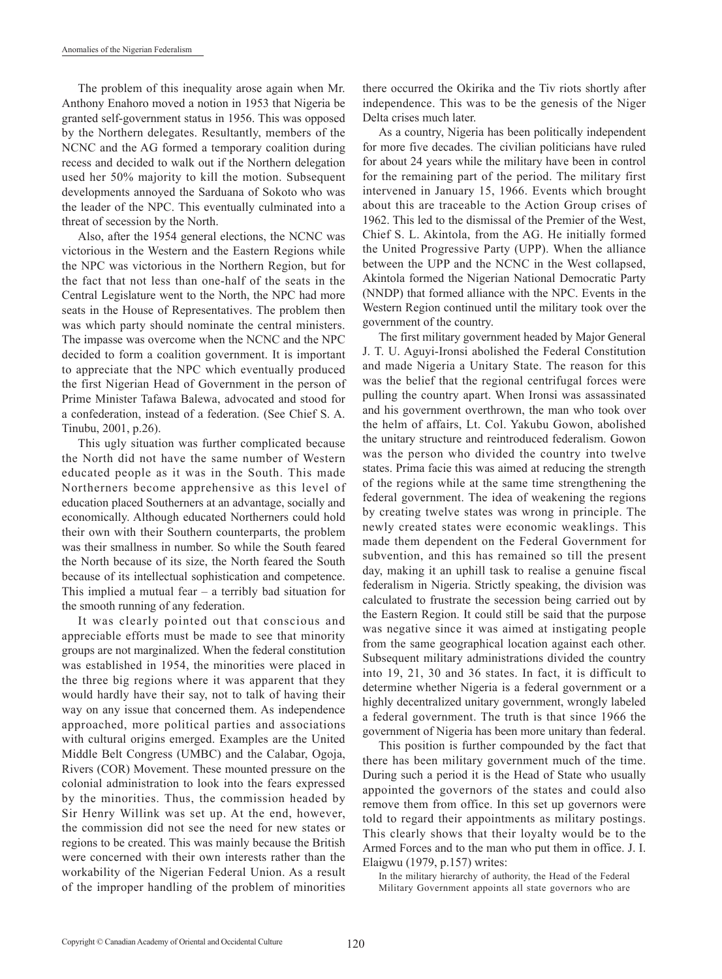The problem of this inequality arose again when Mr. Anthony Enahoro moved a notion in 1953 that Nigeria be granted self-government status in 1956. This was opposed by the Northern delegates. Resultantly, members of the NCNC and the AG formed a temporary coalition during recess and decided to walk out if the Northern delegation used her 50% majority to kill the motion. Subsequent developments annoyed the Sarduana of Sokoto who was the leader of the NPC. This eventually culminated into a threat of secession by the North.

Also, after the 1954 general elections, the NCNC was victorious in the Western and the Eastern Regions while the NPC was victorious in the Northern Region, but for the fact that not less than one-half of the seats in the Central Legislature went to the North, the NPC had more seats in the House of Representatives. The problem then was which party should nominate the central ministers. The impasse was overcome when the NCNC and the NPC decided to form a coalition government. It is important to appreciate that the NPC which eventually produced the first Nigerian Head of Government in the person of Prime Minister Tafawa Balewa, advocated and stood for a confederation, instead of a federation. (See Chief S. A. Tinubu, 2001, p.26).

This ugly situation was further complicated because the North did not have the same number of Western educated people as it was in the South. This made Northerners become apprehensive as this level of education placed Southerners at an advantage, socially and economically. Although educated Northerners could hold their own with their Southern counterparts, the problem was their smallness in number. So while the South feared the North because of its size, the North feared the South because of its intellectual sophistication and competence. This implied a mutual fear  $-$  a terribly bad situation for the smooth running of any federation.

It was clearly pointed out that conscious and appreciable efforts must be made to see that minority groups are not marginalized. When the federal constitution was established in 1954, the minorities were placed in the three big regions where it was apparent that they would hardly have their say, not to talk of having their way on any issue that concerned them. As independence approached, more political parties and associations with cultural origins emerged. Examples are the United Middle Belt Congress (UMBC) and the Calabar, Ogoja, Rivers (COR) Movement. These mounted pressure on the colonial administration to look into the fears expressed by the minorities. Thus, the commission headed by Sir Henry Willink was set up. At the end, however, the commission did not see the need for new states or regions to be created. This was mainly because the British were concerned with their own interests rather than the workability of the Nigerian Federal Union. As a result of the improper handling of the problem of minorities

there occurred the Okirika and the Tiv riots shortly after independence. This was to be the genesis of the Niger Delta crises much later.

As a country, Nigeria has been politically independent for more five decades. The civilian politicians have ruled for about 24 years while the military have been in control for the remaining part of the period. The military first intervened in January 15, 1966. Events which brought about this are traceable to the Action Group crises of 1962. This led to the dismissal of the Premier of the West, Chief S. L. Akintola, from the AG. He initially formed the United Progressive Party (UPP). When the alliance between the UPP and the NCNC in the West collapsed, Akintola formed the Nigerian National Democratic Party (NNDP) that formed alliance with the NPC. Events in the Western Region continued until the military took over the government of the country.

The first military government headed by Major General J. T. U. Aguyi-Ironsi abolished the Federal Constitution and made Nigeria a Unitary State. The reason for this was the belief that the regional centrifugal forces were pulling the country apart. When Ironsi was assassinated and his government overthrown, the man who took over the helm of affairs, Lt. Col. Yakubu Gowon, abolished the unitary structure and reintroduced federalism. Gowon was the person who divided the country into twelve states. Prima facie this was aimed at reducing the strength of the regions while at the same time strengthening the federal government. The idea of weakening the regions by creating twelve states was wrong in principle. The newly created states were economic weaklings. This made them dependent on the Federal Government for subvention, and this has remained so till the present day, making it an uphill task to realise a genuine fiscal federalism in Nigeria. Strictly speaking, the division was calculated to frustrate the secession being carried out by the Eastern Region. It could still be said that the purpose was negative since it was aimed at instigating people from the same geographical location against each other. Subsequent military administrations divided the country into 19, 21, 30 and 36 states. In fact, it is difficult to determine whether Nigeria is a federal government or a highly decentralized unitary government, wrongly labeled a federal government. The truth is that since 1966 the government of Nigeria has been more unitary than federal.

This position is further compounded by the fact that there has been military government much of the time. During such a period it is the Head of State who usually appointed the governors of the states and could also remove them from office. In this set up governors were told to regard their appointments as military postings. This clearly shows that their loyalty would be to the Armed Forces and to the man who put them in office. J. I. Elaigwu (1979, p.157) writes:

In the military hierarchy of authority, the Head of the Federal Military Government appoints all state governors who are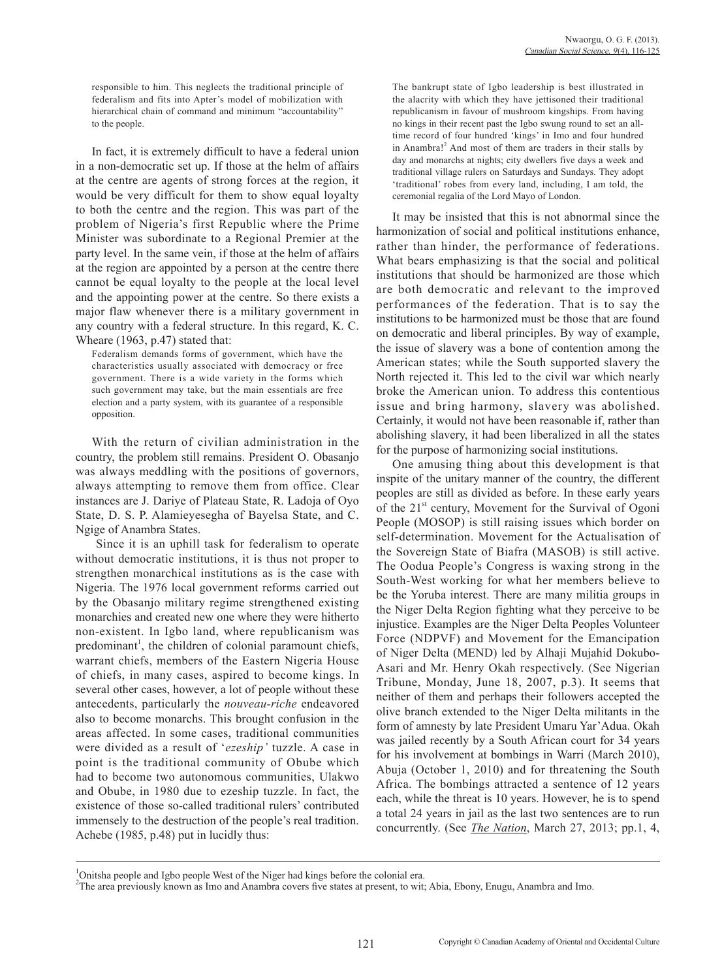responsible to him. This neglects the traditional principle of federalism and fits into Apter's model of mobilization with hierarchical chain of command and minimum "accountability" to the people.

In fact, it is extremely difficult to have a federal union in a non-democratic set up. If those at the helm of affairs at the centre are agents of strong forces at the region, it would be very difficult for them to show equal loyalty to both the centre and the region. This was part of the problem of Nigeria's first Republic where the Prime Minister was subordinate to a Regional Premier at the party level. In the same vein, if those at the helm of affairs at the region are appointed by a person at the centre there cannot be equal loyalty to the people at the local level and the appointing power at the centre. So there exists a major flaw whenever there is a military government in any country with a federal structure. In this regard, K. C. Wheare (1963, p.47) stated that:

Federalism demands forms of government, which have the characteristics usually associated with democracy or free government. There is a wide variety in the forms which such government may take, but the main essentials are free election and a party system, with its guarantee of a responsible opposition.

With the return of civilian administration in the country, the problem still remains. President O. Obasanjo was always meddling with the positions of governors, always attempting to remove them from office. Clear instances are J. Dariye of Plateau State, R. Ladoja of Oyo State, D. S. P. Alamieyesegha of Bayelsa State, and C. Ngige of Anambra States.

 Since it is an uphill task for federalism to operate without democratic institutions, it is thus not proper to strengthen monarchical institutions as is the case with Nigeria. The 1976 local government reforms carried out by the Obasanjo military regime strengthened existing monarchies and created new one where they were hitherto non-existent. In Igbo land, where republicanism was predominant<sup>1</sup>, the children of colonial paramount chiefs, warrant chiefs, members of the Eastern Nigeria House of chiefs, in many cases, aspired to become kings. In several other cases, however, a lot of people without these antecedents, particularly the *nouveau-riche* endeavored also to become monarchs. This brought confusion in the areas affected. In some cases, traditional communities were divided as a result of '*ezeship'* tuzzle. A case in point is the traditional community of Obube which had to become two autonomous communities, Ulakwo and Obube, in 1980 due to ezeship tuzzle. In fact, the existence of those so-called traditional rulers' contributed immensely to the destruction of the people's real tradition. Achebe (1985, p.48) put in lucidly thus:

The bankrupt state of Igbo leadership is best illustrated in the alacrity with which they have jettisoned their traditional republicanism in favour of mushroom kingships. From having no kings in their recent past the Igbo swung round to set an alltime record of four hundred 'kings' in Imo and four hundred in Anambra!<sup>2</sup> And most of them are traders in their stalls by day and monarchs at nights; city dwellers five days a week and traditional village rulers on Saturdays and Sundays. They adopt 'traditional' robes from every land, including, I am told, the ceremonial regalia of the Lord Mayo of London.

It may be insisted that this is not abnormal since the harmonization of social and political institutions enhance, rather than hinder, the performance of federations. What bears emphasizing is that the social and political institutions that should be harmonized are those which are both democratic and relevant to the improved performances of the federation. That is to say the institutions to be harmonized must be those that are found on democratic and liberal principles. By way of example, the issue of slavery was a bone of contention among the American states; while the South supported slavery the North rejected it. This led to the civil war which nearly broke the American union. To address this contentious issue and bring harmony, slavery was abolished. Certainly, it would not have been reasonable if, rather than abolishing slavery, it had been liberalized in all the states for the purpose of harmonizing social institutions.

One amusing thing about this development is that inspite of the unitary manner of the country, the different peoples are still as divided as before. In these early years of the  $21<sup>st</sup>$  century, Movement for the Survival of Ogoni People (MOSOP) is still raising issues which border on self-determination. Movement for the Actualisation of the Sovereign State of Biafra (MASOB) is still active. The Oodua People's Congress is waxing strong in the South-West working for what her members believe to be the Yoruba interest. There are many militia groups in the Niger Delta Region fighting what they perceive to be injustice. Examples are the Niger Delta Peoples Volunteer Force (NDPVF) and Movement for the Emancipation of Niger Delta (MEND) led by Alhaji Mujahid Dokubo-Asari and Mr. Henry Okah respectively. (See Nigerian Tribune, Monday, June 18, 2007, p.3). It seems that neither of them and perhaps their followers accepted the olive branch extended to the Niger Delta militants in the form of amnesty by late President Umaru Yar'Adua. Okah was jailed recently by a South African court for 34 years for his involvement at bombings in Warri (March 2010), Abuja (October 1, 2010) and for threatening the South Africa. The bombings attracted a sentence of 12 years each, while the threat is 10 years. However, he is to spend a total 24 years in jail as the last two sentences are to run concurrently. (See *The Nation*, March 27, 2013; pp.1, 4,

<sup>&</sup>lt;sup>1</sup>Onitsha people and Igbo people West of the Niger had kings before the colonial era.

<sup>&</sup>lt;sup>2</sup>The area previously known as Imo and Anambra covers five states at present, to wit; Abia, Ebony, Enugu, Anambra and Imo.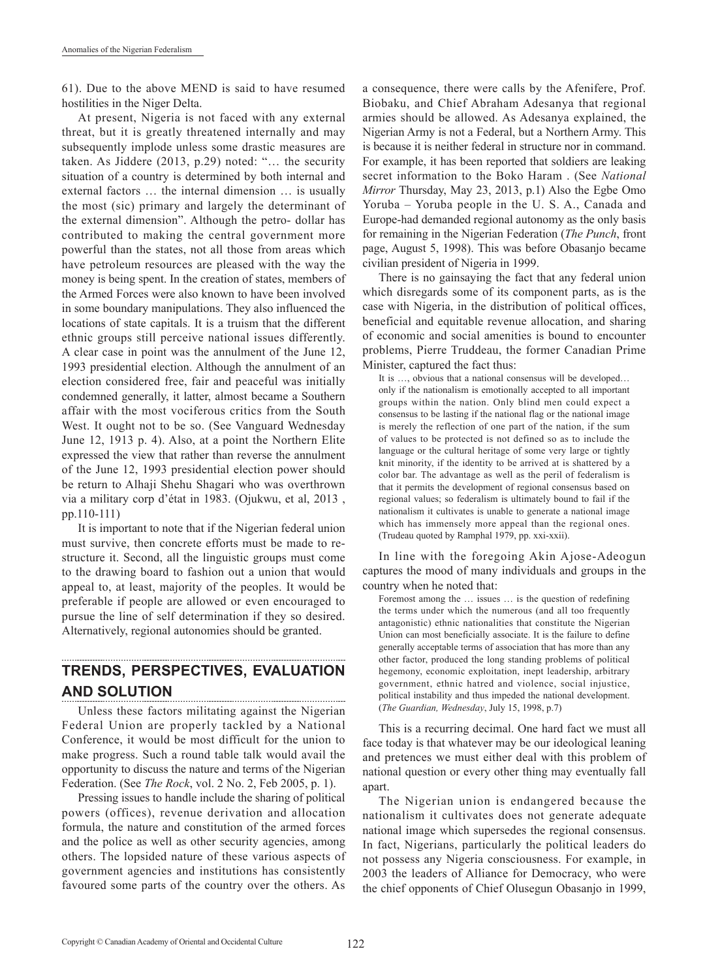61). Due to the above MEND is said to have resumed hostilities in the Niger Delta.

At present, Nigeria is not faced with any external threat, but it is greatly threatened internally and may subsequently implode unless some drastic measures are taken. As Jiddere (2013, p.29) noted: "… the security situation of a country is determined by both internal and external factors … the internal dimension … is usually the most (sic) primary and largely the determinant of the external dimension". Although the petro- dollar has contributed to making the central government more powerful than the states, not all those from areas which have petroleum resources are pleased with the way the money is being spent. In the creation of states, members of the Armed Forces were also known to have been involved in some boundary manipulations. They also influenced the locations of state capitals. It is a truism that the different ethnic groups still perceive national issues differently. A clear case in point was the annulment of the June 12, 1993 presidential election. Although the annulment of an election considered free, fair and peaceful was initially condemned generally, it latter, almost became a Southern affair with the most vociferous critics from the South West. It ought not to be so. (See Vanguard Wednesday June 12, 1913 p. 4). Also, at a point the Northern Elite expressed the view that rather than reverse the annulment of the June 12, 1993 presidential election power should be return to Alhaji Shehu Shagari who was overthrown via a military corp d'état in 1983. (Ojukwu, et al, 2013 , pp.110-111)

It is important to note that if the Nigerian federal union must survive, then concrete efforts must be made to restructure it. Second, all the linguistic groups must come to the drawing board to fashion out a union that would appeal to, at least, majority of the peoples. It would be preferable if people are allowed or even encouraged to pursue the line of self determination if they so desired. Alternatively, regional autonomies should be granted.

#### **TRENDS, PERSPECTIVES, EVALUATION AND SOLUTION**

Unless these factors militating against the Nigerian Federal Union are properly tackled by a National Conference, it would be most difficult for the union to make progress. Such a round table talk would avail the opportunity to discuss the nature and terms of the Nigerian Federation. (See *The Rock*, vol. 2 No. 2, Feb 2005, p. 1).

Pressing issues to handle include the sharing of political powers (offices), revenue derivation and allocation formula, the nature and constitution of the armed forces and the police as well as other security agencies, among others. The lopsided nature of these various aspects of government agencies and institutions has consistently favoured some parts of the country over the others. As

a consequence, there were calls by the Afenifere, Prof. Biobaku, and Chief Abraham Adesanya that regional armies should be allowed. As Adesanya explained, the Nigerian Army is not a Federal, but a Northern Army. This is because it is neither federal in structure nor in command. For example, it has been reported that soldiers are leaking secret information to the Boko Haram . (See *National Mirror* Thursday, May 23, 2013, p.1) Also the Egbe Omo Yoruba – Yoruba people in the U. S. A., Canada and Europe-had demanded regional autonomy as the only basis for remaining in the Nigerian Federation (*The Punch*, front page, August 5, 1998). This was before Obasanjo became civilian president of Nigeria in 1999.

There is no gainsaying the fact that any federal union which disregards some of its component parts, as is the case with Nigeria, in the distribution of political offices, beneficial and equitable revenue allocation, and sharing of economic and social amenities is bound to encounter problems, Pierre Truddeau, the former Canadian Prime Minister, captured the fact thus:

It is …, obvious that a national consensus will be developed… only if the nationalism is emotionally accepted to all important groups within the nation. Only blind men could expect a consensus to be lasting if the national flag or the national image is merely the reflection of one part of the nation, if the sum of values to be protected is not defined so as to include the language or the cultural heritage of some very large or tightly knit minority, if the identity to be arrived at is shattered by a color bar. The advantage as well as the peril of federalism is that it permits the development of regional consensus based on regional values; so federalism is ultimately bound to fail if the nationalism it cultivates is unable to generate a national image which has immensely more appeal than the regional ones. (Trudeau quoted by Ramphal 1979, pp. xxi-xxii).

In line with the foregoing Akin Ajose-Adeogun captures the mood of many individuals and groups in the country when he noted that:

Foremost among the … issues … is the question of redefining the terms under which the numerous (and all too frequently antagonistic) ethnic nationalities that constitute the Nigerian Union can most beneficially associate. It is the failure to define generally acceptable terms of association that has more than any other factor, produced the long standing problems of political hegemony, economic exploitation, inept leadership, arbitrary government, ethnic hatred and violence, social injustice, political instability and thus impeded the national development. (*The Guardian, Wednesday*, July 15, 1998, p.7)

This is a recurring decimal. One hard fact we must all face today is that whatever may be our ideological leaning and pretences we must either deal with this problem of national question or every other thing may eventually fall apart.

The Nigerian union is endangered because the nationalism it cultivates does not generate adequate national image which supersedes the regional consensus. In fact, Nigerians, particularly the political leaders do not possess any Nigeria consciousness. For example, in 2003 the leaders of Alliance for Democracy, who were the chief opponents of Chief Olusegun Obasanjo in 1999,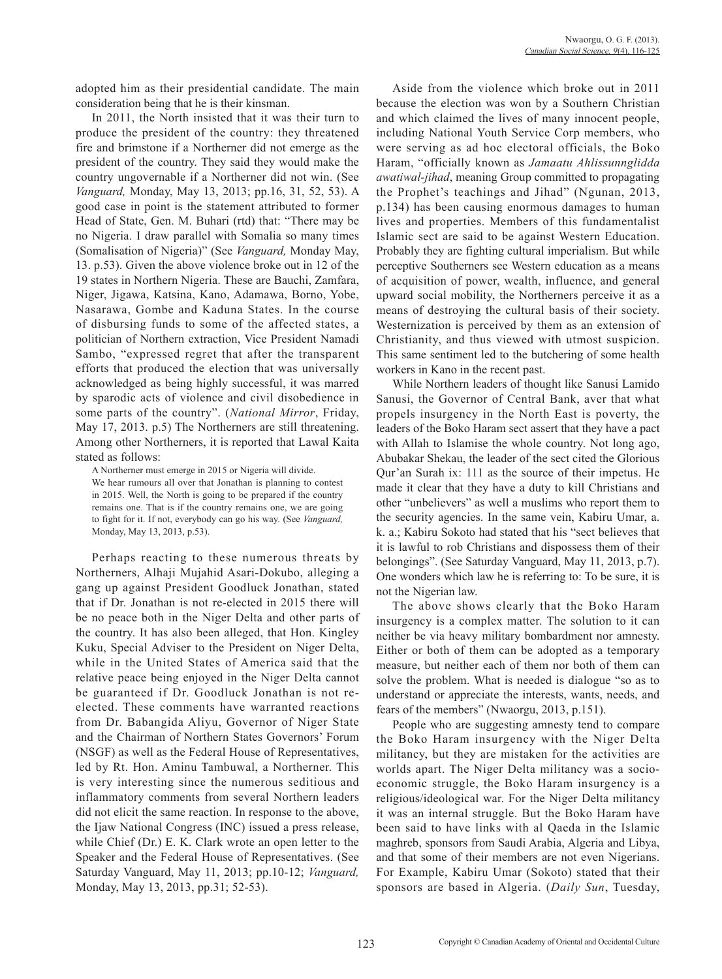adopted him as their presidential candidate. The main consideration being that he is their kinsman.

In 2011, the North insisted that it was their turn to produce the president of the country: they threatened fire and brimstone if a Northerner did not emerge as the president of the country. They said they would make the country ungovernable if a Northerner did not win. (See *Vanguard,* Monday, May 13, 2013; pp.16, 31, 52, 53). A good case in point is the statement attributed to former Head of State, Gen. M. Buhari (rtd) that: "There may be no Nigeria. I draw parallel with Somalia so many times (Somalisation of Nigeria)" (See *Vanguard,* Monday May, 13. p.53). Given the above violence broke out in 12 of the 19 states in Northern Nigeria. These are Bauchi, Zamfara, Niger, Jigawa, Katsina, Kano, Adamawa, Borno, Yobe, Nasarawa, Gombe and Kaduna States. In the course of disbursing funds to some of the affected states, a politician of Northern extraction, Vice President Namadi Sambo, "expressed regret that after the transparent efforts that produced the election that was universally acknowledged as being highly successful, it was marred by sparodic acts of violence and civil disobedience in some parts of the country". (*National Mirror*, Friday, May 17, 2013. p.5) The Northerners are still threatening. Among other Northerners, it is reported that Lawal Kaita stated as follows:

A Northerner must emerge in 2015 or Nigeria will divide. We hear rumours all over that Jonathan is planning to contest in 2015. Well, the North is going to be prepared if the country remains one. That is if the country remains one, we are going to fight for it. If not, everybody can go his way. (See *Vanguard,*  Monday, May 13, 2013, p.53).

Perhaps reacting to these numerous threats by Northerners, Alhaji Mujahid Asari-Dokubo, alleging a gang up against President Goodluck Jonathan, stated that if Dr. Jonathan is not re-elected in 2015 there will be no peace both in the Niger Delta and other parts of the country. It has also been alleged, that Hon. Kingley Kuku, Special Adviser to the President on Niger Delta, while in the United States of America said that the relative peace being enjoyed in the Niger Delta cannot be guaranteed if Dr. Goodluck Jonathan is not reelected. These comments have warranted reactions from Dr. Babangida Aliyu, Governor of Niger State and the Chairman of Northern States Governors' Forum (NSGF) as well as the Federal House of Representatives, led by Rt. Hon. Aminu Tambuwal, a Northerner. This is very interesting since the numerous seditious and inflammatory comments from several Northern leaders did not elicit the same reaction. In response to the above, the Ijaw National Congress (INC) issued a press release, while Chief (Dr.) E. K. Clark wrote an open letter to the Speaker and the Federal House of Representatives. (See Saturday Vanguard, May 11, 2013; pp.10-12; *Vanguard,*  Monday, May 13, 2013, pp.31; 52-53).

Aside from the violence which broke out in 2011 because the election was won by a Southern Christian and which claimed the lives of many innocent people, including National Youth Service Corp members, who were serving as ad hoc electoral officials, the Boko Haram, "officially known as *Jamaatu Ahlissunnglidda awatiwal-jihad*, meaning Group committed to propagating the Prophet's teachings and Jihad" (Ngunan, 2013, p.134) has been causing enormous damages to human lives and properties. Members of this fundamentalist Islamic sect are said to be against Western Education. Probably they are fighting cultural imperialism. But while perceptive Southerners see Western education as a means of acquisition of power, wealth, influence, and general upward social mobility, the Northerners perceive it as a means of destroying the cultural basis of their society. Westernization is perceived by them as an extension of Christianity, and thus viewed with utmost suspicion. This same sentiment led to the butchering of some health workers in Kano in the recent past.

While Northern leaders of thought like Sanusi Lamido Sanusi, the Governor of Central Bank, aver that what propels insurgency in the North East is poverty, the leaders of the Boko Haram sect assert that they have a pact with Allah to Islamise the whole country. Not long ago, Abubakar Shekau, the leader of the sect cited the Glorious Qur'an Surah ix: 111 as the source of their impetus. He made it clear that they have a duty to kill Christians and other "unbelievers" as well a muslims who report them to the security agencies. In the same vein, Kabiru Umar, a. k. a.; Kabiru Sokoto had stated that his "sect believes that it is lawful to rob Christians and dispossess them of their belongings". (See Saturday Vanguard, May 11, 2013, p.7). One wonders which law he is referring to: To be sure, it is not the Nigerian law.

The above shows clearly that the Boko Haram insurgency is a complex matter. The solution to it can neither be via heavy military bombardment nor amnesty. Either or both of them can be adopted as a temporary measure, but neither each of them nor both of them can solve the problem. What is needed is dialogue "so as to understand or appreciate the interests, wants, needs, and fears of the members" (Nwaorgu, 2013, p.151).

People who are suggesting amnesty tend to compare the Boko Haram insurgency with the Niger Delta militancy, but they are mistaken for the activities are worlds apart. The Niger Delta militancy was a socioeconomic struggle, the Boko Haram insurgency is a religious/ideological war. For the Niger Delta militancy it was an internal struggle. But the Boko Haram have been said to have links with al Qaeda in the Islamic maghreb, sponsors from Saudi Arabia, Algeria and Libya, and that some of their members are not even Nigerians. For Example, Kabiru Umar (Sokoto) stated that their sponsors are based in Algeria. (*Daily Sun*, Tuesday,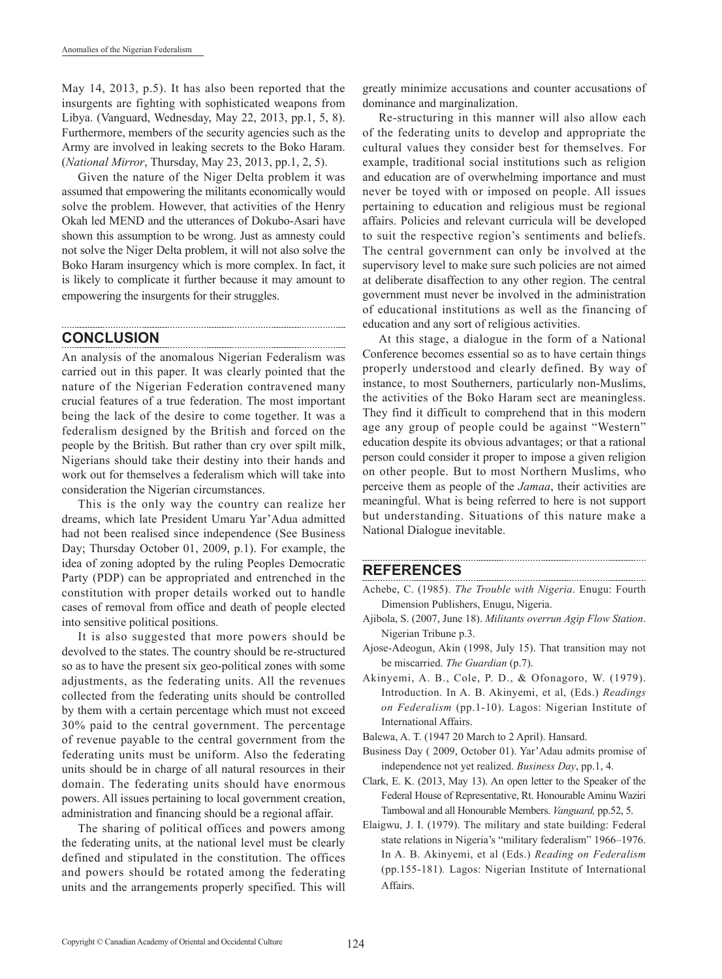May 14, 2013, p.5). It has also been reported that the insurgents are fighting with sophisticated weapons from Libya. (Vanguard, Wednesday, May 22, 2013, pp.1, 5, 8). Furthermore, members of the security agencies such as the Army are involved in leaking secrets to the Boko Haram. (*National Mirror*, Thursday, May 23, 2013, pp.1, 2, 5).

Given the nature of the Niger Delta problem it was assumed that empowering the militants economically would solve the problem. However, that activities of the Henry Okah led MEND and the utterances of Dokubo-Asari have shown this assumption to be wrong. Just as amnesty could not solve the Niger Delta problem, it will not also solve the Boko Haram insurgency which is more complex. In fact, it is likely to complicate it further because it may amount to empowering the insurgents for their struggles.

#### **CONCLUSION**

An analysis of the anomalous Nigerian Federalism was carried out in this paper. It was clearly pointed that the nature of the Nigerian Federation contravened many crucial features of a true federation. The most important being the lack of the desire to come together. It was a federalism designed by the British and forced on the people by the British. But rather than cry over spilt milk, Nigerians should take their destiny into their hands and work out for themselves a federalism which will take into consideration the Nigerian circumstances.

This is the only way the country can realize her dreams, which late President Umaru Yar'Adua admitted had not been realised since independence (See Business Day; Thursday October 01, 2009, p.1). For example, the idea of zoning adopted by the ruling Peoples Democratic Party (PDP) can be appropriated and entrenched in the constitution with proper details worked out to handle cases of removal from office and death of people elected into sensitive political positions.

It is also suggested that more powers should be devolved to the states. The country should be re-structured so as to have the present six geo-political zones with some adjustments, as the federating units. All the revenues collected from the federating units should be controlled by them with a certain percentage which must not exceed 30% paid to the central government. The percentage of revenue payable to the central government from the federating units must be uniform. Also the federating units should be in charge of all natural resources in their domain. The federating units should have enormous powers. All issues pertaining to local government creation, administration and financing should be a regional affair.

The sharing of political offices and powers among the federating units, at the national level must be clearly defined and stipulated in the constitution. The offices and powers should be rotated among the federating units and the arrangements properly specified. This will

greatly minimize accusations and counter accusations of dominance and marginalization.

Re-structuring in this manner will also allow each of the federating units to develop and appropriate the cultural values they consider best for themselves. For example, traditional social institutions such as religion and education are of overwhelming importance and must never be toyed with or imposed on people. All issues pertaining to education and religious must be regional affairs. Policies and relevant curricula will be developed to suit the respective region's sentiments and beliefs. The central government can only be involved at the supervisory level to make sure such policies are not aimed at deliberate disaffection to any other region. The central government must never be involved in the administration of educational institutions as well as the financing of education and any sort of religious activities.

At this stage, a dialogue in the form of a National Conference becomes essential so as to have certain things properly understood and clearly defined. By way of instance, to most Southerners, particularly non-Muslims, the activities of the Boko Haram sect are meaningless. They find it difficult to comprehend that in this modern age any group of people could be against "Western" education despite its obvious advantages; or that a rational person could consider it proper to impose a given religion on other people. But to most Northern Muslims, who perceive them as people of the *Jamaa*, their activities are meaningful. What is being referred to here is not support but understanding. Situations of this nature make a National Dialogue inevitable.

#### **REFERENCES**

Achebe, C. (1985). *The Trouble with Nigeria*. Enugu: Fourth Dimension Publishers, Enugu, Nigeria.

- Ajibola, S. (2007, June 18). *Militants overrun Agip Flow Station*. Nigerian Tribune p.3.
- Ajose-Adeogun, Akin (1998, July 15). That transition may not be miscarried. *The Guardian* (p.7).
- Akinyemi, A. B., Cole, P. D., & Ofonagoro, W. (1979). Introduction. In A. B. Akinyemi, et al, (Eds.) *Readings on Federalism* (pp.1-10). Lagos: Nigerian Institute of International Affairs.
- Balewa, A. T. (1947 20 March to 2 April). Hansard.
- Business Day ( 2009, October 01). Yar'Adau admits promise of independence not yet realized. *Business Day*, pp.1, 4.
- Clark, E. K. (2013, May 13). An open letter to the Speaker of the Federal House of Representative, Rt. Honourable Aminu Waziri Tambowal and all Honourable Members. *Vanguard,* pp.52, 5.
- Elaigwu, J. I. (1979). The military and state building: Federal state relations in Nigeria's "military federalism" 1966–1976. In A. B. Akinyemi, et al (Eds.) *Reading on Federalism*  (pp.155-181)*.* Lagos: Nigerian Institute of International Affairs.